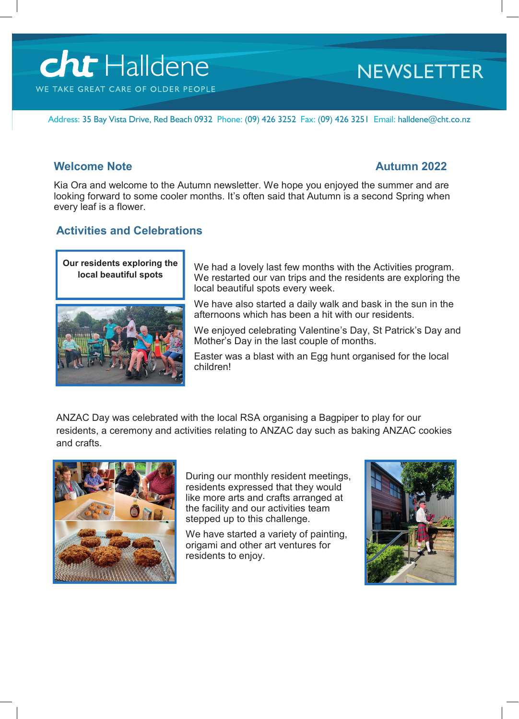# **cht** Halldene WE TAKE GREAT CARE OF OLDER PEOPLE

# **NEWSLETTER**

Address: 35 Bay Vista Drive, Red Beach 0932 Phone: (09) 426 3252 Fax: (09) 426 3251 Email: halldene@cht.co.nz

## **Welcome Note Autumn 2022**

Kia Ora and welcome to the Autumn newsletter. We hope you enjoyed the summer and are looking forward to some cooler months. It's often said that Autumn is a second Spring when every leaf is a flower.

# **Activities and Celebrations**



We had a lovely last few months with the Activities program. We restarted our van trips and the residents are exploring the local beautiful spots every week.

We have also started a daily walk and bask in the sun in the afternoons which has been a hit with our residents.

We enjoyed celebrating Valentine's Day, St Patrick's Day and Mother's Day in the last couple of months.

Easter was a blast with an Egg hunt organised for the local children!

ANZAC Day was celebrated with the local RSA organising a Bagpiper to play for our residents, a ceremony and activities relating to ANZAC day such as baking ANZAC cookies and crafts.



During our monthly resident meetings, residents expressed that they would like more arts and crafts arranged at the facility and our activities team stepped up to this challenge.

We have started a variety of painting, origami and other art ventures for residents to enjoy.